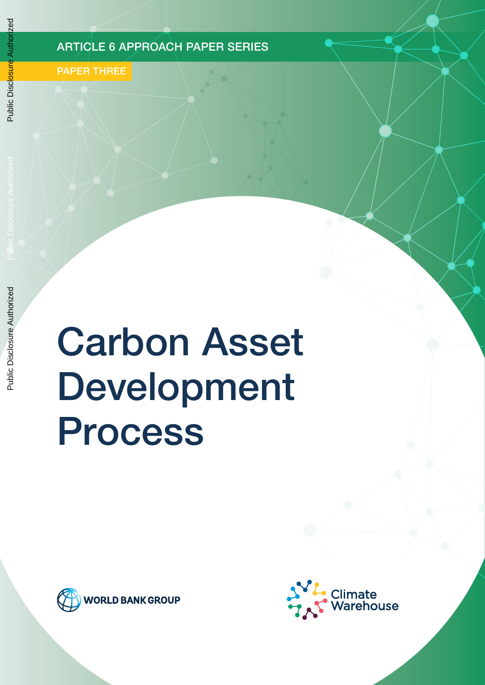### ARTICLE 6 APPROACH PAPER SERIES

PAPER THREE

# Carbon Asset Development Process



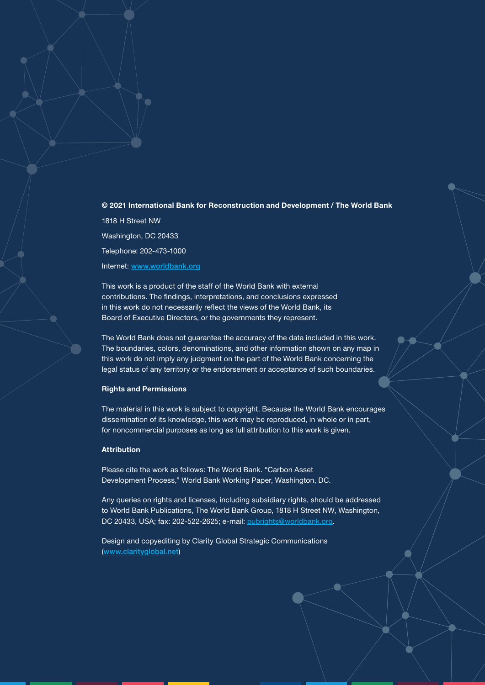© 2021 International Bank for Reconstruction and Development / The World Bank 1818 H Street NW Washington, DC 20433 Telephone: 202-473-1000 Internet: [www.worldbank.org](http://www.worldbank.org)

This work is a product of the staff of the World Bank with external contributions. The findings, interpretations, and conclusions expressed in this work do not necessarily reflect the views of the World Bank, its Board of Executive Directors, or the governments they represent.

The World Bank does not guarantee the accuracy of the data included in this work. The boundaries, colors, denominations, and other information shown on any map in this work do not imply any judgment on the part of the World Bank concerning the legal status of any territory or the endorsement or acceptance of such boundaries.

#### Rights and Permissions

The material in this work is subject to copyright. Because the World Bank encourages dissemination of its knowledge, this work may be reproduced, in whole or in part, for noncommercial purposes as long as full attribution to this work is given.

#### Attribution

Please cite the work as follows: The World Bank. "Carbon Asset Development Process," World Bank Working Paper, Washington, DC.

Any queries on rights and licenses, including subsidiary rights, should be addressed to World Bank Publications, The World Bank Group, 1818 H Street NW, Washington, DC 20433, USA; fax: 202-522-2625; e-mail: [pubrights@worldbank.org](mailto:pubrights%40worldbank.org?subject=).

Design and copyediting by Clarity Global Strategic Communications (www.clarityglobal.net)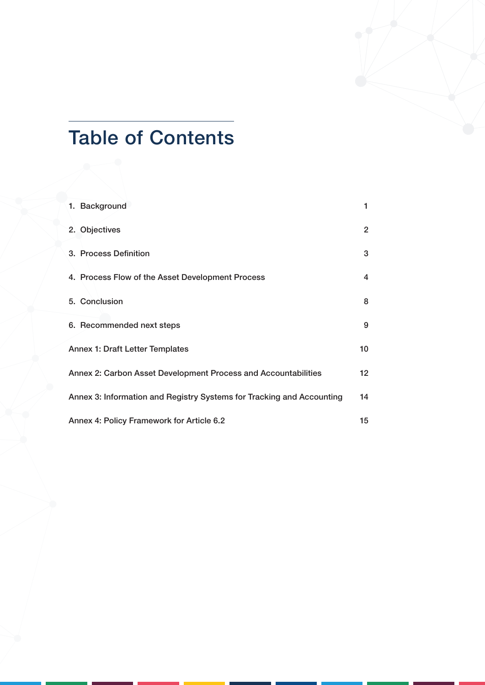### Table of Contents

| 1. Background                                                         | 1              |  |
|-----------------------------------------------------------------------|----------------|--|
| 2. Objectives                                                         | $\overline{2}$ |  |
| 3. Process Definition                                                 | 3              |  |
| 4. Process Flow of the Asset Development Process                      | 4              |  |
| 5. Conclusion                                                         | 8              |  |
| 6. Recommended next steps                                             | 9              |  |
| <b>Annex 1: Draft Letter Templates</b>                                |                |  |
| Annex 2: Carbon Asset Development Process and Accountabilities        |                |  |
| Annex 3: Information and Registry Systems for Tracking and Accounting |                |  |
| Annex 4: Policy Framework for Article 6.2                             |                |  |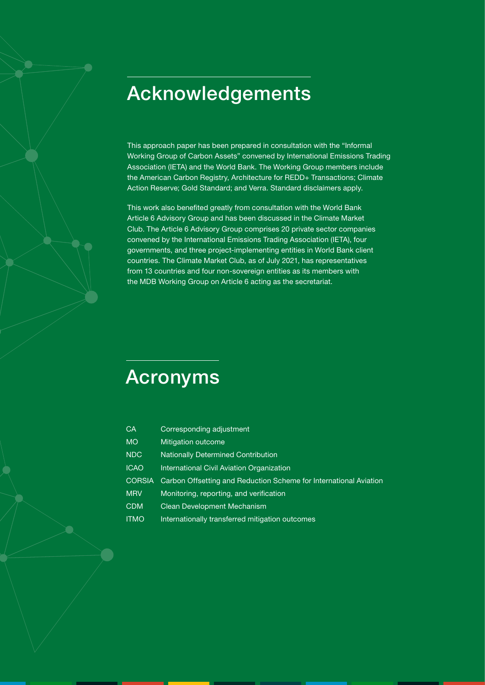### Acknowledgements

This approach paper has been prepared in consultation with the "Informal Working Group of Carbon Assets" convened by International Emissions Trading Association (IETA) and the World Bank. The Working Group members include the American Carbon Registry, Architecture for REDD+ Transactions; Climate Action Reserve; Gold Standard; and Verra. Standard disclaimers apply.

This work also benefited greatly from consultation with the World Bank Article 6 Advisory Group and has been discussed in the Climate Market Club. The Article 6 Advisory Group comprises 20 private sector companies convened by the International Emissions Trading Association (IETA), four governments, and three project-implementing entities in World Bank client countries. The Climate Market Club, as of July 2021, has representatives from 13 countries and four non-sovereign entities as its members with the MDB Working Group on Article 6 acting as the secretariat.

### Acronyms

- CA Corresponding adjustment
- MO Mitigation outcome
- NDC Nationally Determined Contribution
- ICAO International Civil Aviation Organization
- CORSIA Carbon Offsetting and Reduction Scheme for International Aviation
- MRV Monitoring, reporting, and verification
- CDM Clean Development Mechanism
- ITMO Internationally transferred mitigation outcomes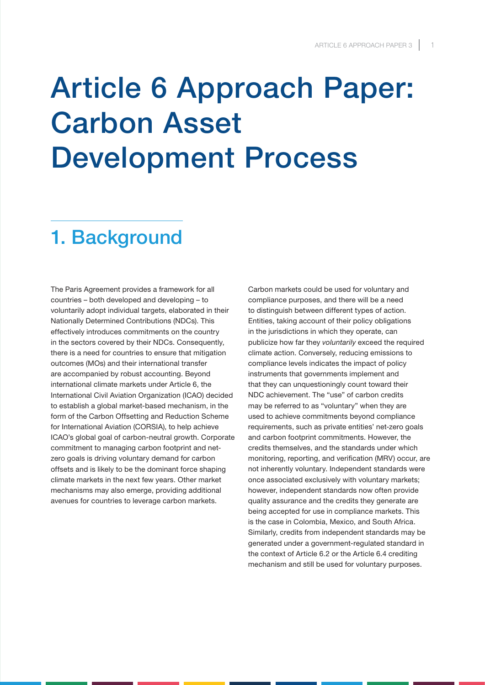## Article 6 Approach Paper: Carbon Asset Development Process

### 1. Background

The Paris Agreement provides a framework for all countries – both developed and developing – to voluntarily adopt individual targets, elaborated in their Nationally Determined Contributions (NDCs). This effectively introduces commitments on the country in the sectors covered by their NDCs. Consequently, there is a need for countries to ensure that mitigation outcomes (MOs) and their international transfer are accompanied by robust accounting. Beyond international climate markets under Article 6, the International Civil Aviation Organization (ICAO) decided to establish a global market-based mechanism, in the form of the Carbon Offsetting and Reduction Scheme for International Aviation (CORSIA), to help achieve ICAO's global goal of carbon-neutral growth. Corporate commitment to managing carbon footprint and netzero goals is driving voluntary demand for carbon offsets and is likely to be the dominant force shaping climate markets in the next few years. Other market mechanisms may also emerge, providing additional avenues for countries to leverage carbon markets.

Carbon markets could be used for voluntary and compliance purposes, and there will be a need to distinguish between different types of action. Entities, taking account of their policy obligations in the jurisdictions in which they operate, can publicize how far they *voluntarily* exceed the required climate action. Conversely, reducing emissions to compliance levels indicates the impact of policy instruments that governments implement and that they can unquestioningly count toward their NDC achievement. The "use" of carbon credits may be referred to as "voluntary" when they are used to achieve commitments beyond compliance requirements, such as private entities' net-zero goals and carbon footprint commitments. However, the credits themselves, and the standards under which monitoring, reporting, and verification (MRV) occur, are not inherently voluntary. Independent standards were once associated exclusively with voluntary markets; however, independent standards now often provide quality assurance and the credits they generate are being accepted for use in compliance markets. This is the case in Colombia, Mexico, and South Africa. Similarly, credits from independent standards may be generated under a government-regulated standard in the context of Article 6.2 or the Article 6.4 crediting mechanism and still be used for voluntary purposes.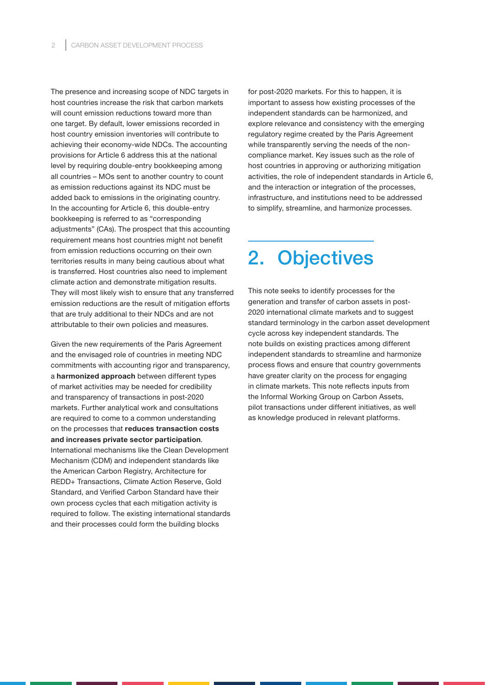The presence and increasing scope of NDC targets in host countries increase the risk that carbon markets will count emission reductions toward more than one target. By default, lower emissions recorded in host country emission inventories will contribute to achieving their economy-wide NDCs. The accounting provisions for Article 6 address this at the national level by requiring double-entry bookkeeping among all countries – MOs sent to another country to count as emission reductions against its NDC must be added back to emissions in the originating country. In the accounting for Article 6, this double-entry bookkeeping is referred to as "corresponding adjustments" (CAs). The prospect that this accounting requirement means host countries might not benefit from emission reductions occurring on their own territories results in many being cautious about what is transferred. Host countries also need to implement climate action and demonstrate mitigation results. They will most likely wish to ensure that any transferred emission reductions are the result of mitigation efforts that are truly additional to their NDCs and are not attributable to their own policies and measures.

Given the new requirements of the Paris Agreement and the envisaged role of countries in meeting NDC commitments with accounting rigor and transparency, a harmonized approach between different types of market activities may be needed for credibility and transparency of transactions in post-2020 markets. Further analytical work and consultations are required to come to a common understanding on the processes that reduces transaction costs and increases private sector participation. International mechanisms like the Clean Development Mechanism (CDM) and independent standards like the American Carbon Registry, Architecture for REDD+ Transactions, Climate Action Reserve, Gold Standard, and Verified Carbon Standard have their own process cycles that each mitigation activity is required to follow. The existing international standards and their processes could form the building blocks

for post-2020 markets. For this to happen, it is important to assess how existing processes of the independent standards can be harmonized, and explore relevance and consistency with the emerging regulatory regime created by the Paris Agreement while transparently serving the needs of the noncompliance market. Key issues such as the role of host countries in approving or authorizing mitigation activities, the role of independent standards in Article 6, and the interaction or integration of the processes, infrastructure, and institutions need to be addressed to simplify, streamline, and harmonize processes.

### 2. Objectives

This note seeks to identify processes for the generation and transfer of carbon assets in post-2020 international climate markets and to suggest standard terminology in the carbon asset development cycle across key independent standards. The note builds on existing practices among different independent standards to streamline and harmonize process flows and ensure that country governments have greater clarity on the process for engaging in climate markets. This note reflects inputs from the Informal Working Group on Carbon Assets, pilot transactions under different initiatives, as well as knowledge produced in relevant platforms.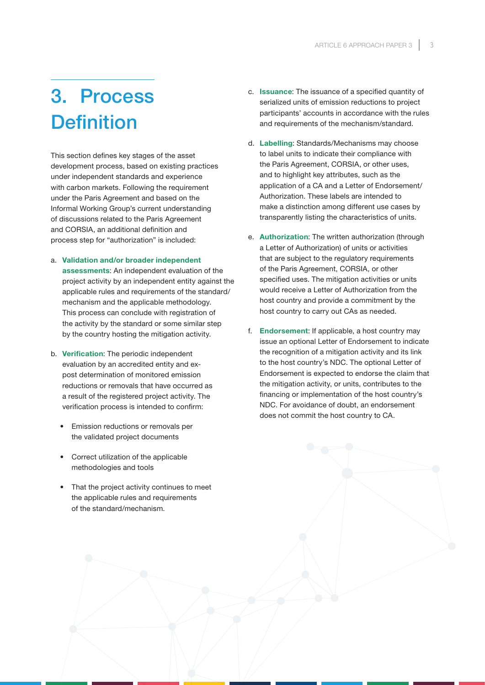### 3. Process **Definition**

This section defines key stages of the asset development process, based on existing practices under independent standards and experience with carbon markets. Following the requirement under the Paris Agreement and based on the Informal Working Group's current understanding of discussions related to the Paris Agreement and CORSIA, an additional definition and process step for "authorization" is included:

- a. Validation and/or broader independent assessments: An independent evaluation of the project activity by an independent entity against the applicable rules and requirements of the standard/ mechanism and the applicable methodology. This process can conclude with registration of the activity by the standard or some similar step by the country hosting the mitigation activity.
- b. Verification: The periodic independent evaluation by an accredited entity and expost determination of monitored emission reductions or removals that have occurred as a result of the registered project activity. The verification process is intended to confirm:
	- Emission reductions or removals per the validated project documents
	- Correct utilization of the applicable methodologies and tools
	- That the project activity continues to meet the applicable rules and requirements of the standard/mechanism.
- c. Issuance: The issuance of a specified quantity of serialized units of emission reductions to project participants' accounts in accordance with the rules and requirements of the mechanism/standard.
- d. Labelling: Standards/Mechanisms may choose to label units to indicate their compliance with the Paris Agreement, CORSIA, or other uses, and to highlight key attributes, such as the application of a CA and a Letter of Endorsement/ Authorization. These labels are intended to make a distinction among different use cases by transparently listing the characteristics of units.
- e. Authorization: The written authorization (through a Letter of Authorization) of units or activities that are subject to the regulatory requirements of the Paris Agreement, CORSIA, or other specified uses. The mitigation activities or units would receive a Letter of Authorization from the host country and provide a commitment by the host country to carry out CAs as needed.
- f. Endorsement: If applicable, a host country may issue an optional Letter of Endorsement to indicate the recognition of a mitigation activity and its link to the host country's NDC. The optional Letter of Endorsement is expected to endorse the claim that the mitigation activity, or units, contributes to the financing or implementation of the host country's NDC. For avoidance of doubt, an endorsement does not commit the host country to CA.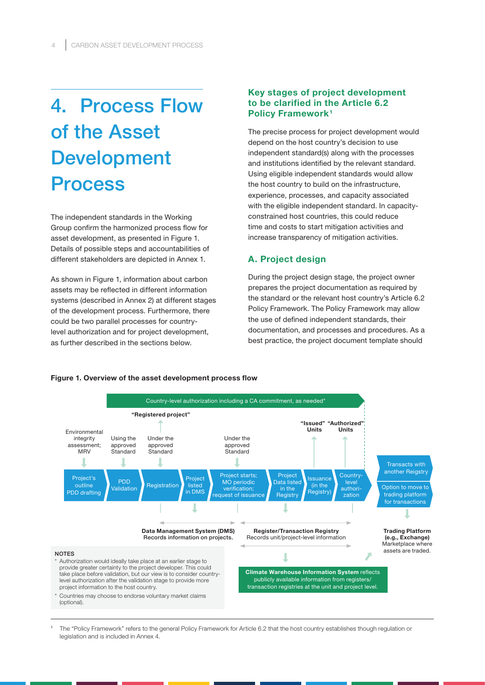### 4. Process Flow of the Asset Development Process

The independent standards in the Working Group confirm the harmonized process flow for asset development, as presented in Figure 1. Details of possible steps and accountabilities of different stakeholders are depicted in Annex 1.

As shown in Figure 1, information about carbon assets may be reflected in different information systems (described in Annex 2) at different stages of the development process. Furthermore, there could be two parallel processes for countrylevel authorization and for project development, as further described in the sections below.

#### Key stages of project development to be clarified in the Article 6.2 Policy Framework<sup>1</sup>

The precise process for project development would depend on the host country's decision to use independent standard(s) along with the processes and institutions identified by the relevant standard. Using eligible independent standards would allow the host country to build on the infrastructure, experience, processes, and capacity associated with the eligible independent standard. In capacityconstrained host countries, this could reduce time and costs to start mitigation activities and increase transparency of mitigation activities.

#### A. Project design

During the project design stage, the project owner prepares the project documentation as required by the standard or the relevant host country's Article 6.2 Policy Framework. The Policy Framework may allow the use of defined independent standards, their documentation, and processes and procedures. As a best practice, the project document template should



Figure 1. Overview of the asset development process flow

<sup>1</sup> The "Policy Framework" refers to the general Policy Framework for Article 6.2 that the host country establishes though regulation or legislation and is included in Annex 4.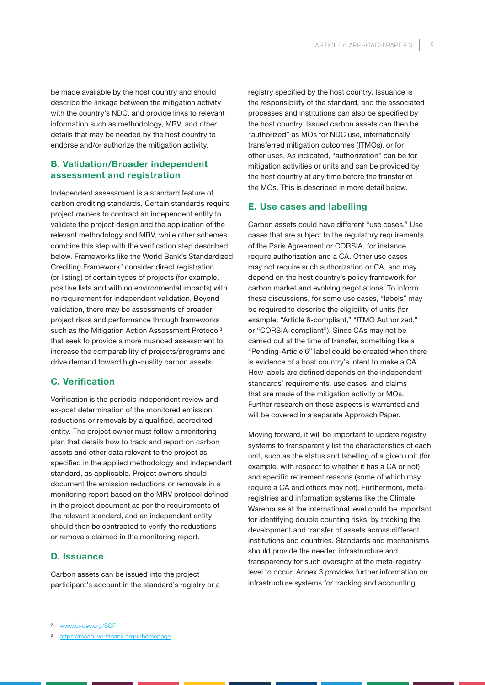be made available by the host country and should describe the linkage between the mitigation activity with the country's NDC, and provide links to relevant information such as methodology, MRV, and other details that may be needed by the host country to endorse and/or authorize the mitigation activity.

#### B. Validation/Broader independent assessment and registration

Independent assessment is a standard feature of carbon crediting standards. Certain standards require project owners to contract an independent entity to validate the project design and the application of the relevant methodology and MRV, while other schemes combine this step with the verification step described below. Frameworks like the World Bank's Standardized Crediting Framework<sup>2</sup> consider direct registration (or listing) of certain types of projects (for example, positive lists and with no environmental impacts) with no requirement for independent validation. Beyond validation, there may be assessments of broader project risks and performance through frameworks such as the Mitigation Action Assessment Protocol<sup>3</sup> that seek to provide a more nuanced assessment to increase the comparability of projects/programs and drive demand toward high-quality carbon assets.

#### C. Verification

Verification is the periodic independent review and ex-post determination of the monitored emission reductions or removals by a qualified, accredited entity. The project owner must follow a monitoring plan that details how to track and report on carbon assets and other data relevant to the project as specified in the applied methodology and independent standard, as applicable. Project owners should document the emission reductions or removals in a monitoring report based on the MRV protocol defined in the project document as per the requirements of the relevant standard, and an independent entity should then be contracted to verify the reductions or removals claimed in the monitoring report.

#### D. Issuance

Carbon assets can be issued into the project participant's account in the standard's registry or a

registry specified by the host country. Issuance is the responsibility of the standard, and the associated processes and institutions can also be specified by the host country. Issued carbon assets can then be "authorized" as MOs for NDC use, internationally transferred mitigation outcomes (ITMOs), or for other uses. As indicated, "authorization" can be for mitigation activities or units and can be provided by the host country at any time before the transfer of the MOs. This is described in more detail below.

#### E. Use cases and labelling

Carbon assets could have different "use cases." Use cases that are subject to the regulatory requirements of the Paris Agreement or CORSIA, for instance, require authorization and a CA. Other use cases may not require such authorization or CA, and may depend on the host country's policy framework for carbon market and evolving negotiations. To inform these discussions, for some use cases, "labels" may be required to describe the eligibility of units (for example, "Article 6-compliant," "ITMO Authorized," or "CORSIA-compliant"). Since CAs may not be carried out at the time of transfer, something like a "Pending-Article 6" label could be created when there is evidence of a host country's intent to make a CA. How labels are defined depends on the independent standards' requirements, use cases, and claims that are made of the mitigation activity or MOs. Further research on these aspects is warranted and will be covered in a separate Approach Paper.

Moving forward, it will be important to update registry systems to transparently list the characteristics of each unit, such as the status and labelling of a given unit (for example, with respect to whether it has a CA or not) and specific retirement reasons (some of which may require a CA and others may not). Furthermore, metaregistries and information systems like the Climate Warehouse at the international level could be important for identifying double counting risks, by tracking the development and transfer of assets across different institutions and countries. Standards and mechanisms should provide the needed infrastructure and transparency for such oversight at the meta-registry level to occur. Annex 3 provides further information on infrastructure systems for tracking and accounting.

www.ci-dev.org/SCF

<sup>3</sup> <https://maap.worldbank.org/#/homepage>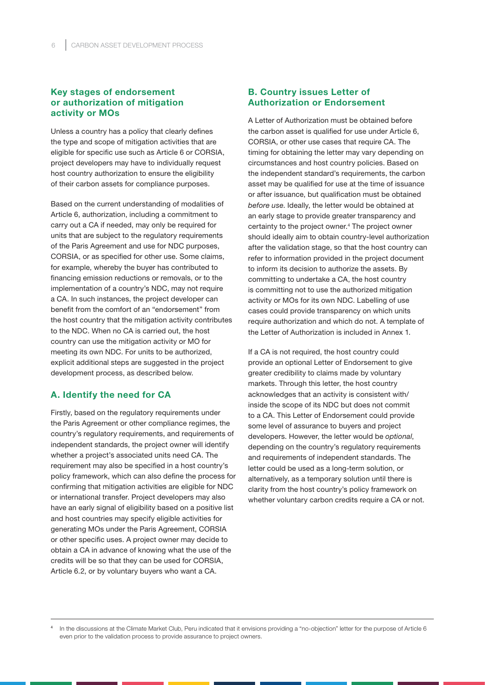#### Key stages of endorsement or authorization of mitigation activity or MOs

Unless a country has a policy that clearly defines the type and scope of mitigation activities that are eligible for specific use such as Article 6 or CORSIA, project developers may have to individually request host country authorization to ensure the eligibility of their carbon assets for compliance purposes.

Based on the current understanding of modalities of Article 6, authorization, including a commitment to carry out a CA if needed, may only be required for units that are subject to the regulatory requirements of the Paris Agreement and use for NDC purposes, CORSIA, or as specified for other use. Some claims, for example, whereby the buyer has contributed to financing emission reductions or removals, or to the implementation of a country's NDC, may not require a CA. In such instances, the project developer can benefit from the comfort of an "endorsement" from the host country that the mitigation activity contributes to the NDC. When no CA is carried out, the host country can use the mitigation activity or MO for meeting its own NDC. For units to be authorized, explicit additional steps are suggested in the project development process, as described below.

#### A. Identify the need for CA

Firstly, based on the regulatory requirements under the Paris Agreement or other compliance regimes, the country's regulatory requirements, and requirements of independent standards, the project owner will identify whether a project's associated units need CA. The requirement may also be specified in a host country's policy framework, which can also define the process for confirming that mitigation activities are eligible for NDC or international transfer. Project developers may also have an early signal of eligibility based on a positive list and host countries may specify eligible activities for generating MOs under the Paris Agreement, CORSIA or other specific uses. A project owner may decide to obtain a CA in advance of knowing what the use of the credits will be so that they can be used for CORSIA, Article 6.2, or by voluntary buyers who want a CA.

#### B. Country issues Letter of Authorization or Endorsement

A Letter of Authorization must be obtained before the carbon asset is qualified for use under Article 6, CORSIA, or other use cases that require CA. The timing for obtaining the letter may vary depending on circumstances and host country policies. Based on the independent standard's requirements, the carbon asset may be qualified for use at the time of issuance or after issuance, but qualification must be obtained *before use*. Ideally, the letter would be obtained at an early stage to provide greater transparency and certainty to the project owner.<sup>4</sup> The project owner should ideally aim to obtain country-level authorization after the validation stage, so that the host country can refer to information provided in the project document to inform its decision to authorize the assets. By committing to undertake a CA, the host country is committing not to use the authorized mitigation activity or MOs for its own NDC. Labelling of use cases could provide transparency on which units require authorization and which do not. A template of the Letter of Authorization is included in Annex 1.

If a CA is not required, the host country could provide an optional Letter of Endorsement to give greater credibility to claims made by voluntary markets. Through this letter, the host country acknowledges that an activity is consistent with/ inside the scope of its NDC but does not commit to a CA. This Letter of Endorsement could provide some level of assurance to buyers and project developers. However, the letter would be *optional*, depending on the country's regulatory requirements and requirements of independent standards. The letter could be used as a long-term solution, or alternatively, as a temporary solution until there is clarity from the host country's policy framework on whether voluntary carbon credits require a CA or not.

<sup>4</sup> In the discussions at the Climate Market Club, Peru indicated that it envisions providing a "no-objection" letter for the purpose of Article 6 even prior to the validation process to provide assurance to project owners.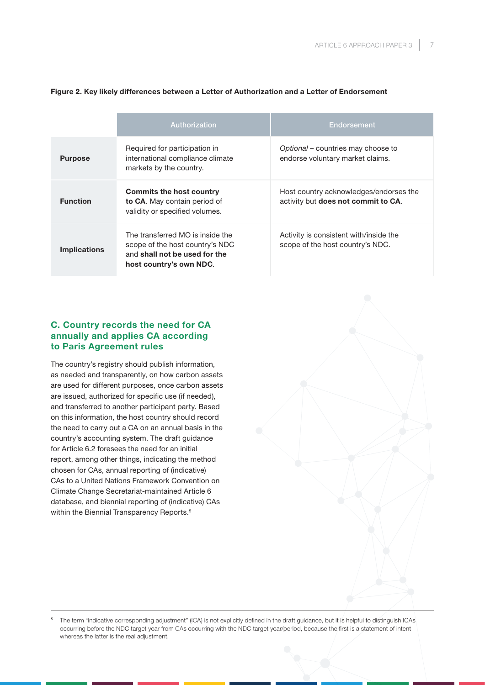#### Figure 2. Key likely differences between a Letter of Authorization and a Letter of Endorsement

|                     | Authorization                                                                                                                   | Endorsement                                                                   |
|---------------------|---------------------------------------------------------------------------------------------------------------------------------|-------------------------------------------------------------------------------|
| <b>Purpose</b>      | Required for participation in<br>international compliance climate<br>markets by the country.                                    | Optional – countries may choose to<br>endorse voluntary market claims.        |
| <b>Function</b>     | <b>Commits the host country</b><br>to CA. May contain period of<br>validity or specified volumes.                               | Host country acknowledges/endorses the<br>activity but does not commit to CA. |
| <b>Implications</b> | The transferred MO is inside the<br>scope of the host country's NDC<br>and shall not be used for the<br>host country's own NDC. | Activity is consistent with/inside the<br>scope of the host country's NDC.    |

#### C. Country records the need for CA annually and applies CA according to Paris Agreement rules

The country's registry should publish information, as needed and transparently, on how carbon assets are used for different purposes, once carbon assets are issued, authorized for specific use (if needed), and transferred to another participant party. Based on this information, the host country should record the need to carry out a CA on an annual basis in the country's accounting system. The draft guidance for Article 6.2 foresees the need for an initial report, among other things, indicating the method chosen for CAs, annual reporting of (indicative) CAs to a United Nations Framework Convention on Climate Change Secretariat-maintained Article 6 database, and biennial reporting of (indicative) CAs within the Biennial Transparency Reports.<sup>5</sup>

<sup>5</sup> The term "indicative corresponding adjustment" (ICA) is not explicitly defined in the draft guidance, but it is helpful to distinguish ICAs occurring before the NDC target year from CAs occurring with the NDC target year/period, because the first is a statement of intent whereas the latter is the real adjustment.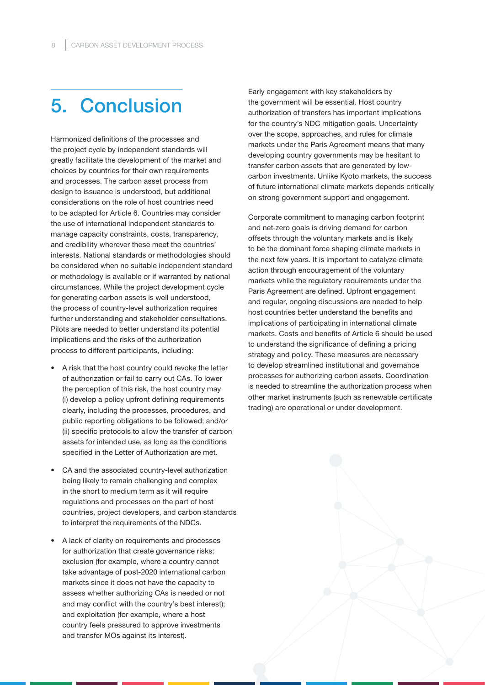### 5. Conclusion

Harmonized definitions of the processes and the project cycle by independent standards will greatly facilitate the development of the market and choices by countries for their own requirements and processes. The carbon asset process from design to issuance is understood, but additional considerations on the role of host countries need to be adapted for Article 6. Countries may consider the use of international independent standards to manage capacity constraints, costs, transparency, and credibility wherever these meet the countries' interests. National standards or methodologies should be considered when no suitable independent standard or methodology is available or if warranted by national circumstances. While the project development cycle for generating carbon assets is well understood, the process of country-level authorization requires further understanding and stakeholder consultations. Pilots are needed to better understand its potential implications and the risks of the authorization process to different participants, including:

- A risk that the host country could revoke the letter of authorization or fail to carry out CAs. To lower the perception of this risk, the host country may (i) develop a policy upfront defining requirements clearly, including the processes, procedures, and public reporting obligations to be followed; and/or (ii) specific protocols to allow the transfer of carbon assets for intended use, as long as the conditions specified in the Letter of Authorization are met.
- CA and the associated country-level authorization being likely to remain challenging and complex in the short to medium term as it will require regulations and processes on the part of host countries, project developers, and carbon standards to interpret the requirements of the NDCs.
- A lack of clarity on requirements and processes for authorization that create governance risks; exclusion (for example, where a country cannot take advantage of post-2020 international carbon markets since it does not have the capacity to assess whether authorizing CAs is needed or not and may conflict with the country's best interest); and exploitation (for example, where a host country feels pressured to approve investments and transfer MOs against its interest).

Early engagement with key stakeholders by the government will be essential. Host country authorization of transfers has important implications for the country's NDC mitigation goals. Uncertainty over the scope, approaches, and rules for climate markets under the Paris Agreement means that many developing country governments may be hesitant to transfer carbon assets that are generated by lowcarbon investments. Unlike Kyoto markets, the success of future international climate markets depends critically on strong government support and engagement.

Corporate commitment to managing carbon footprint and net-zero goals is driving demand for carbon offsets through the voluntary markets and is likely to be the dominant force shaping climate markets in the next few years. It is important to catalyze climate action through encouragement of the voluntary markets while the regulatory requirements under the Paris Agreement are defined. Upfront engagement and regular, ongoing discussions are needed to help host countries better understand the benefits and implications of participating in international climate markets. Costs and benefits of Article 6 should be used to understand the significance of defining a pricing strategy and policy. These measures are necessary to develop streamlined institutional and governance processes for authorizing carbon assets. Coordination is needed to streamline the authorization process when other market instruments (such as renewable certificate trading) are operational or under development.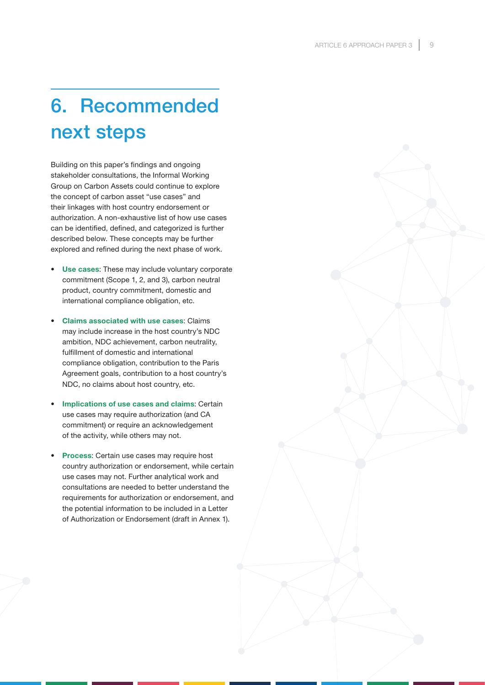### 6. Recommended next steps

Building on this paper's findings and ongoing stakeholder consultations, the Informal Working Group on Carbon Assets could continue to explore the concept of carbon asset "use cases" and their linkages with host country endorsement or authorization. A non-exhaustive list of how use cases can be identified, defined, and categorized is further described below. These concepts may be further explored and refined during the next phase of work.

- Use cases: These may include voluntary corporate commitment (Scope 1, 2, and 3), carbon neutral product, country commitment, domestic and international compliance obligation, etc.
- Claims associated with use cases: Claims may include increase in the host country's NDC ambition, NDC achievement, carbon neutrality, fulfillment of domestic and international compliance obligation, contribution to the Paris Agreement goals, contribution to a host country's NDC, no claims about host country, etc.
- Implications of use cases and claims: Certain use cases may require authorization (and CA commitment) or require an acknowledgement of the activity, while others may not.
- Process: Certain use cases may require host country authorization or endorsement, while certain use cases may not. Further analytical work and consultations are needed to better understand the requirements for authorization or endorsement, and the potential information to be included in a Letter of Authorization or Endorsement (draft in Annex 1).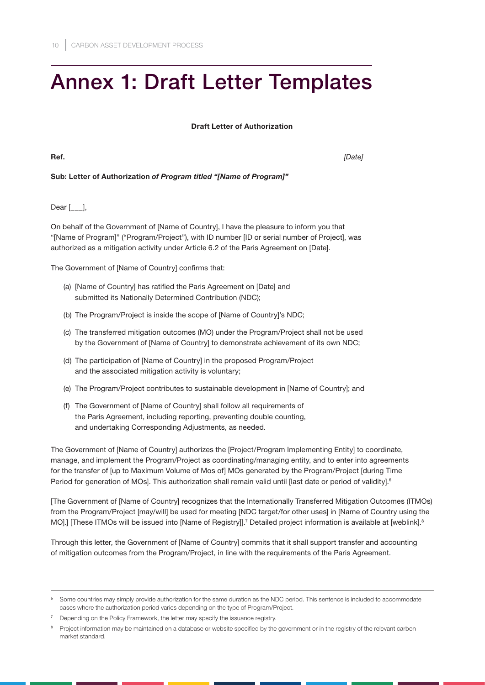### Annex 1: Draft Letter Templates

Draft Letter of Authorization

Ref. *[Date]*

Sub: Letter of Authorization *of Program titled "[Name of Program]"*

Dear [\_\_\_],

On behalf of the Government of [Name of Country], I have the pleasure to inform you that "[Name of Program]" ("Program/Project"), with ID number [ID or serial number of Project], was authorized as a mitigation activity under Article 6.2 of the Paris Agreement on [Date].

The Government of [Name of Country] confirms that:

- (a) [Name of Country] has ratified the Paris Agreement on [Date] and submitted its Nationally Determined Contribution (NDC);
- (b) The Program/Project is inside the scope of [Name of Country]'s NDC;
- (c) The transferred mitigation outcomes (MO) under the Program/Project shall not be used by the Government of [Name of Country] to demonstrate achievement of its own NDC;
- (d) The participation of [Name of Country] in the proposed Program/Project and the associated mitigation activity is voluntary;
- (e) The Program/Project contributes to sustainable development in [Name of Country]; and
- (f) The Government of [Name of Country] shall follow all requirements of the Paris Agreement, including reporting, preventing double counting, and undertaking Corresponding Adjustments, as needed.

The Government of [Name of Country] authorizes the [Project/Program Implementing Entity] to coordinate, manage, and implement the Program/Project as coordinating/managing entity, and to enter into agreements for the transfer of [up to Maximum Volume of Mos of] MOs generated by the Program/Project [during Time Period for generation of MOs]. This authorization shall remain valid until [last date or period of validity].<sup>6</sup>

[The Government of [Name of Country] recognizes that the Internationally Transferred Mitigation Outcomes (ITMOs) from the Program/Project [may/will] be used for meeting [NDC target/for other uses] in [Name of Country using the MO].] [These ITMOs will be issued into [Name of Registry]].<sup>7</sup> Detailed project information is available at [weblink].<sup>8</sup>

Through this letter, the Government of [Name of Country] commits that it shall support transfer and accounting of mitigation outcomes from the Program/Project, in line with the requirements of the Paris Agreement.

Some countries may simply provide authorization for the same duration as the NDC period. This sentence is included to accommodate cases where the authorization period varies depending on the type of Program/Project.

Depending on the Policy Framework, the letter may specify the issuance registry.

<sup>8</sup> Project information may be maintained on a database or website specified by the government or in the registry of the relevant carbon market standard.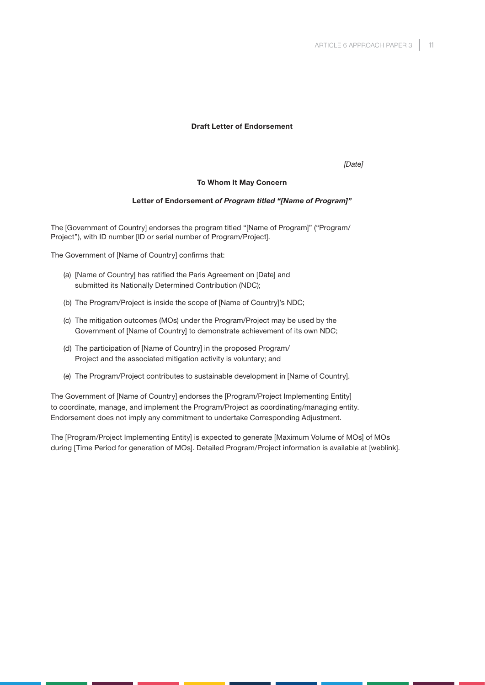#### Draft Letter of Endorsement

*[Date]*

#### To Whom It May Concern

#### Letter of Endorsement *of Program titled "[Name of Program]"*

The [Government of Country] endorses the program titled "[Name of Program]" ("Program/ Project"), with ID number [ID or serial number of Program/Project].

The Government of [Name of Country] confirms that:

- (a) [Name of Country] has ratified the Paris Agreement on [Date] and submitted its Nationally Determined Contribution (NDC);
- (b) The Program/Project is inside the scope of [Name of Country]'s NDC;
- (c) The mitigation outcomes (MOs) under the Program/Project may be used by the Government of [Name of Country] to demonstrate achievement of its own NDC;
- (d) The participation of [Name of Country] in the proposed Program/ Project and the associated mitigation activity is voluntary; and
- (e) The Program/Project contributes to sustainable development in [Name of Country].

The Government of [Name of Country] endorses the [Program/Project Implementing Entity] to coordinate, manage, and implement the Program/Project as coordinating/managing entity. Endorsement does not imply any commitment to undertake Corresponding Adjustment.

The [Program/Project Implementing Entity] is expected to generate [Maximum Volume of MOs] of MOs during [Time Period for generation of MOs]. Detailed Program/Project information is available at [weblink].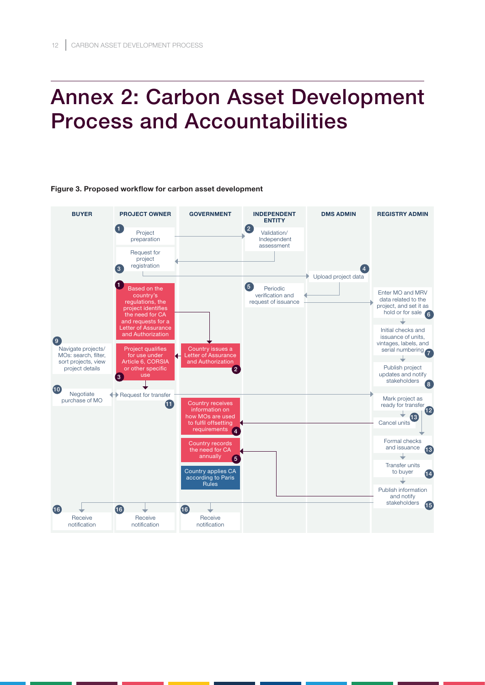### Annex 2: Carbon Asset Development Process and Accountabilities



#### Figure 3. Proposed workflow for carbon asset development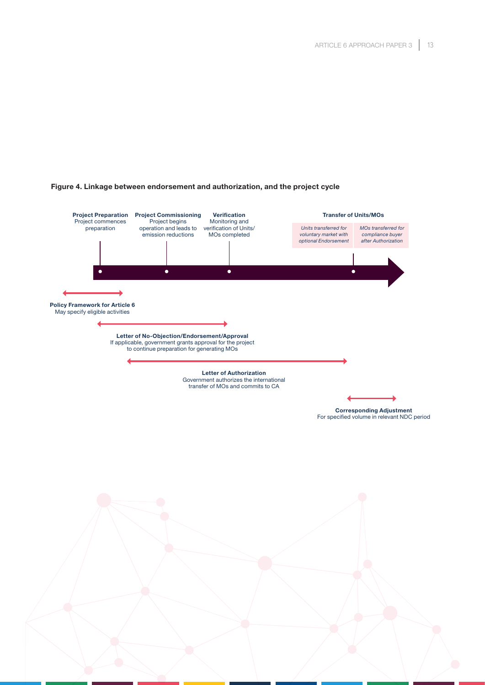

#### Figure 4. Linkage between endorsement and authorization, and the project cycle

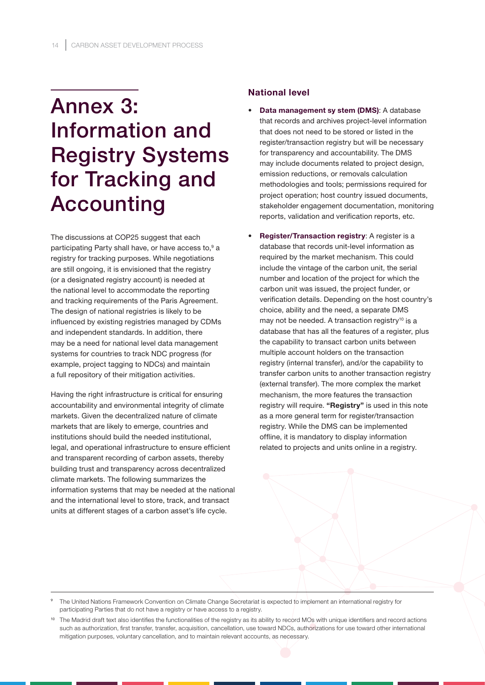### Annex 3: Information and Registry Systems for Tracking and Accounting

The discussions at COP25 suggest that each participating Party shall have, or have access to,<sup>9</sup> a registry for tracking purposes. While negotiations are still ongoing, it is envisioned that the registry (or a designated registry account) is needed at the national level to accommodate the reporting and tracking requirements of the Paris Agreement. The design of national registries is likely to be influenced by existing registries managed by CDMs and independent standards. In addition, there may be a need for national level data management systems for countries to track NDC progress (for example, project tagging to NDCs) and maintain a full repository of their mitigation activities.

Having the right infrastructure is critical for ensuring accountability and environmental integrity of climate markets. Given the decentralized nature of climate markets that are likely to emerge, countries and institutions should build the needed institutional, legal, and operational infrastructure to ensure efficient and transparent recording of carbon assets, thereby building trust and transparency across decentralized climate markets. The following summarizes the information systems that may be needed at the national and the international level to store, track, and transact units at different stages of a carbon asset's life cycle.

#### National level

- Data management sy stem (DMS): A database that records and archives project-level information that does not need to be stored or listed in the register/transaction registry but will be necessary for transparency and accountability. The DMS may include documents related to project design, emission reductions, or removals calculation methodologies and tools; permissions required for project operation; host country issued documents, stakeholder engagement documentation, monitoring reports, validation and verification reports, etc.
- Register/Transaction registry: A register is a database that records unit-level information as required by the market mechanism. This could include the vintage of the carbon unit, the serial number and location of the project for which the carbon unit was issued, the project funder, or verification details. Depending on the host country's choice, ability and the need, a separate DMS may not be needed. A transaction registry<sup>10</sup> is a database that has all the features of a register, plus the capability to transact carbon units between multiple account holders on the transaction registry (internal transfer), and/or the capability to transfer carbon units to another transaction registry (external transfer). The more complex the market mechanism, the more features the transaction registry will require. "Registry" is used in this note as a more general term for register/transaction registry. While the DMS can be implemented offline, it is mandatory to display information related to projects and units online in a registry.

The United Nations Framework Convention on Climate Change Secretariat is expected to implement an international registry for participating Parties that do not have a registry or have access to a registry.

<sup>&</sup>lt;sup>10</sup> The Madrid draft text also identifies the functionalities of the registry as its ability to record MOs with unique identifiers and record actions such as authorization, first transfer, transfer, acquisition, cancellation, use toward NDCs, authorizations for use toward other international mitigation purposes, voluntary cancellation, and to maintain relevant accounts, as necessary.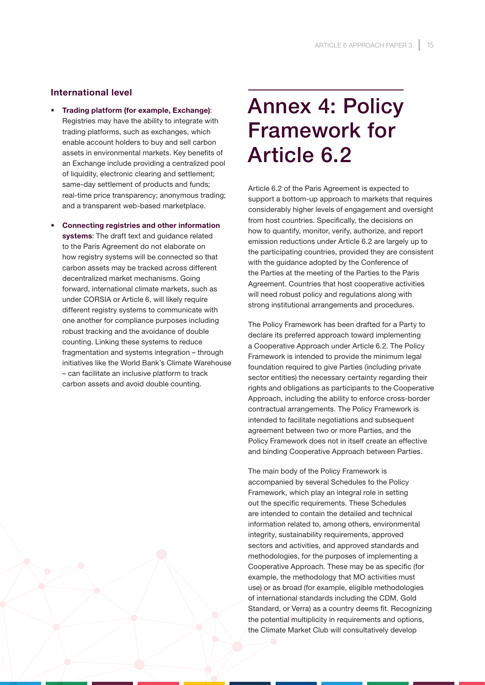#### International level

- Trading platform (for example, Exchange): Registries may have the ability to integrate with trading platforms, such as exchanges, which enable account holders to buy and sell carbon assets in environmental markets. Key benefits of an Exchange include providing a centralized pool of liquidity, electronic clearing and settlement; same-day settlement of products and funds; real-time price transparency; anonymous trading; and a transparent web-based marketplace.
- Connecting registries and other information systems: The draft text and guidance related to the Paris Agreement do not elaborate on how registry systems will be connected so that carbon assets may be tracked across different decentralized market mechanisms. Going forward, international climate markets, such as under CORSIA or Article 6, will likely require different registry systems to communicate with one another for compliance purposes including robust tracking and the avoidance of double counting. Linking these systems to reduce fragmentation and systems integration – through initiatives like the World Bank's Climate Warehouse – can facilitate an inclusive platform to track carbon assets and avoid double counting.

### Annex 4: Policy Framework for Article 6.2

Article 6.2 of the Paris Agreement is expected to support a bottom-up approach to markets that requires considerably higher levels of engagement and oversight from host countries. Specifically, the decisions on how to quantify, monitor, verify, authorize, and report emission reductions under Article 6.2 are largely up to the participating countries, provided they are consistent with the guidance adopted by the Conference of the Parties at the meeting of the Parties to the Paris Agreement. Countries that host cooperative activities will need robust policy and regulations along with strong institutional arrangements and procedures.

The Policy Framework has been drafted for a Party to declare its preferred approach toward implementing a Cooperative Approach under Article 6.2. The Policy Framework is intended to provide the minimum legal foundation required to give Parties (including private sector entities) the necessary certainty regarding their rights and obligations as participants to the Cooperative Approach, including the ability to enforce cross-border contractual arrangements. The Policy Framework is intended to facilitate negotiations and subsequent agreement between two or more Parties, and the Policy Framework does not in itself create an effective and binding Cooperative Approach between Parties.

The main body of the Policy Framework is accompanied by several Schedules to the Policy Framework, which play an integral role in setting out the specific requirements. These Schedules are intended to contain the detailed and technical information related to, among others, environmental integrity, sustainability requirements, approved sectors and activities, and approved standards and methodologies, for the purposes of implementing a Cooperative Approach. These may be as specific (for example, the methodology that MO activities must use) or as broad (for example, eligible methodologies of international standards including the CDM, Gold Standard, or Verra) as a country deems fit. Recognizing the potential multiplicity in requirements and options, the Climate Market Club will consultatively develop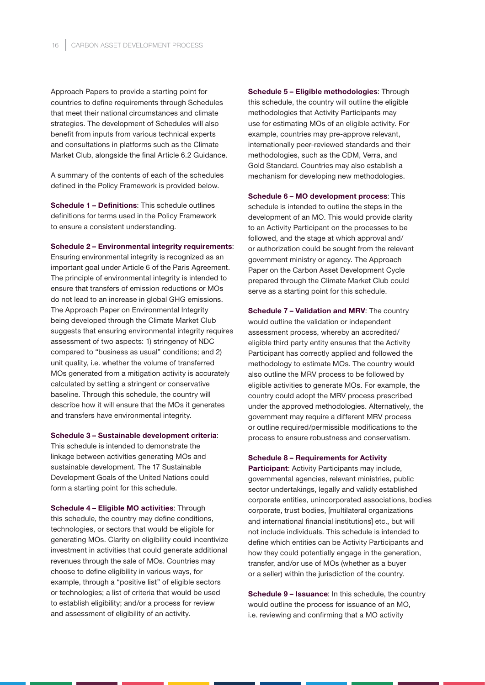Approach Papers to provide a starting point for countries to define requirements through Schedules that meet their national circumstances and climate strategies. The development of Schedules will also benefit from inputs from various technical experts and consultations in platforms such as the Climate Market Club, alongside the final Article 6.2 Guidance.

A summary of the contents of each of the schedules defined in the Policy Framework is provided below.

Schedule 1 – Definitions: This schedule outlines definitions for terms used in the Policy Framework to ensure a consistent understanding.

Schedule 2 – Environmental integrity requirements:

Ensuring environmental integrity is recognized as an important goal under Article 6 of the Paris Agreement. The principle of environmental integrity is intended to ensure that transfers of emission reductions or MOs do not lead to an increase in global GHG emissions. The Approach Paper on Environmental Integrity being developed through the Climate Market Club suggests that ensuring environmental integrity requires assessment of two aspects: 1) stringency of NDC compared to "business as usual" conditions; and 2) unit quality, i.e. whether the volume of transferred MOs generated from a mitigation activity is accurately calculated by setting a stringent or conservative baseline. Through this schedule, the country will describe how it will ensure that the MOs it generates and transfers have environmental integrity.

#### Schedule 3 – Sustainable development criteria:

This schedule is intended to demonstrate the linkage between activities generating MOs and sustainable development. The 17 Sustainable Development Goals of the United Nations could form a starting point for this schedule.

Schedule 4 – Eligible MO activities: Through this schedule, the country may define conditions, technologies, or sectors that would be eligible for generating MOs. Clarity on eligibility could incentivize investment in activities that could generate additional revenues through the sale of MOs. Countries may choose to define eligibility in various ways, for example, through a "positive list" of eligible sectors or technologies; a list of criteria that would be used to establish eligibility; and/or a process for review and assessment of eligibility of an activity.

Schedule 5 – Eligible methodologies: Through this schedule, the country will outline the eligible methodologies that Activity Participants may use for estimating MOs of an eligible activity. For example, countries may pre-approve relevant, internationally peer-reviewed standards and their methodologies, such as the CDM, Verra, and Gold Standard. Countries may also establish a mechanism for developing new methodologies.

Schedule 6 – MO development process: This schedule is intended to outline the steps in the development of an MO. This would provide clarity to an Activity Participant on the processes to be followed, and the stage at which approval and/ or authorization could be sought from the relevant government ministry or agency. The Approach Paper on the Carbon Asset Development Cycle prepared through the Climate Market Club could serve as a starting point for this schedule.

Schedule 7 – Validation and MRV: The country would outline the validation or independent assessment process, whereby an accredited/ eligible third party entity ensures that the Activity Participant has correctly applied and followed the methodology to estimate MOs. The country would also outline the MRV process to be followed by eligible activities to generate MOs. For example, the country could adopt the MRV process prescribed under the approved methodologies. Alternatively, the government may require a different MRV process or outline required/permissible modifications to the process to ensure robustness and conservatism.

#### Schedule 8 – Requirements for Activity

Participant: Activity Participants may include, governmental agencies, relevant ministries, public sector undertakings, legally and validly established corporate entities, unincorporated associations, bodies corporate, trust bodies, [multilateral organizations and international financial institutions] etc., but will not include individuals. This schedule is intended to define which entities can be Activity Participants and how they could potentially engage in the generation, transfer, and/or use of MOs (whether as a buyer or a seller) within the jurisdiction of the country.

Schedule 9 – Issuance: In this schedule, the country would outline the process for issuance of an MO, i.e. reviewing and confirming that a MO activity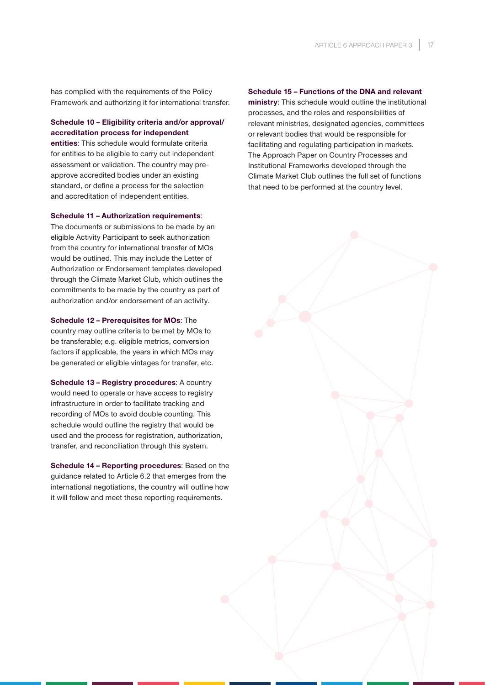has complied with the requirements of the Policy Framework and authorizing it for international transfer.

#### Schedule 10 – Eligibility criteria and/or approval/ accreditation process for independent

entities: This schedule would formulate criteria for entities to be eligible to carry out independent assessment or validation. The country may preapprove accredited bodies under an existing standard, or define a process for the selection and accreditation of independent entities.

#### Schedule 11 – Authorization requirements:

The documents or submissions to be made by an eligible Activity Participant to seek authorization from the country for international transfer of MOs would be outlined. This may include the Letter of Authorization or Endorsement templates developed through the Climate Market Club, which outlines the commitments to be made by the country as part of authorization and/or endorsement of an activity.

Schedule 12 – Prerequisites for MOs: The country may outline criteria to be met by MOs to be transferable; e.g. eligible metrics, conversion factors if applicable, the years in which MOs may be generated or eligible vintages for transfer, etc.

Schedule 13 – Registry procedures: A country would need to operate or have access to registry infrastructure in order to facilitate tracking and recording of MOs to avoid double counting. This schedule would outline the registry that would be used and the process for registration, authorization, transfer, and reconciliation through this system.

Schedule 14 – Reporting procedures: Based on the guidance related to Article 6.2 that emerges from the international negotiations, the country will outline how it will follow and meet these reporting requirements.

#### Schedule 15 – Functions of the DNA and relevant

ministry: This schedule would outline the institutional processes, and the roles and responsibilities of relevant ministries, designated agencies, committees or relevant bodies that would be responsible for facilitating and regulating participation in markets. The Approach Paper on Country Processes and Institutional Frameworks developed through the Climate Market Club outlines the full set of functions that need to be performed at the country level.

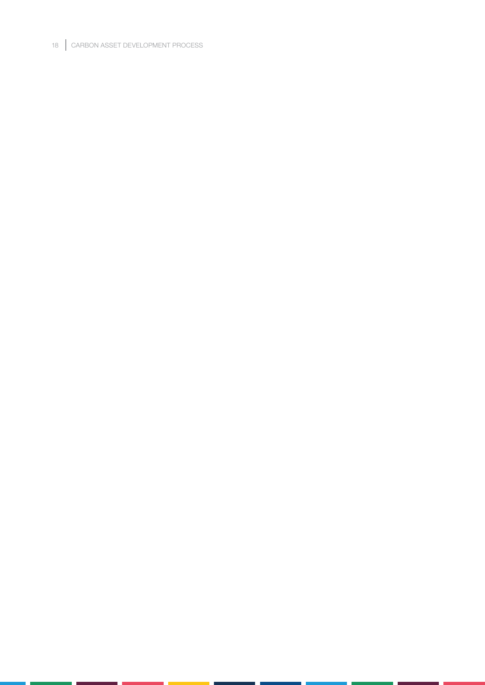18 | CARBON ASSET DEVELOPMENT PROCESS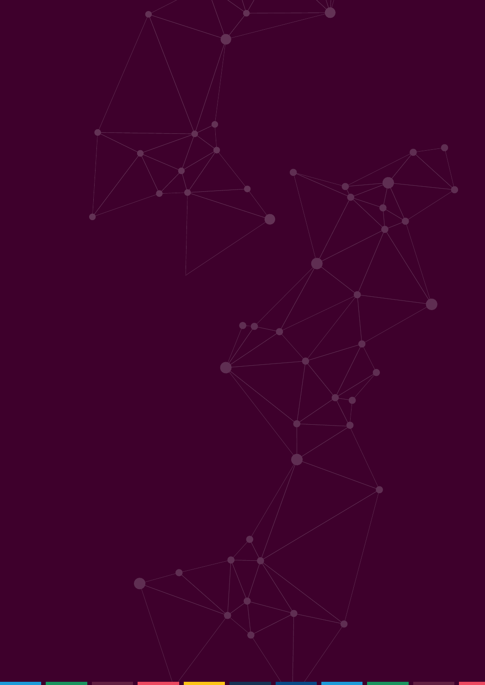